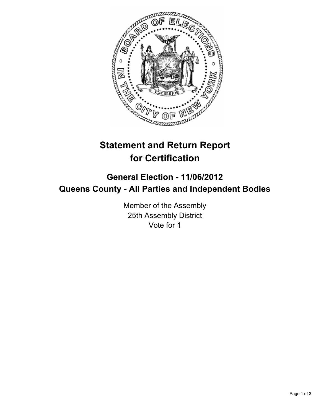

## **Statement and Return Report for Certification**

## **General Election - 11/06/2012 Queens County - All Parties and Independent Bodies**

Member of the Assembly 25th Assembly District Vote for 1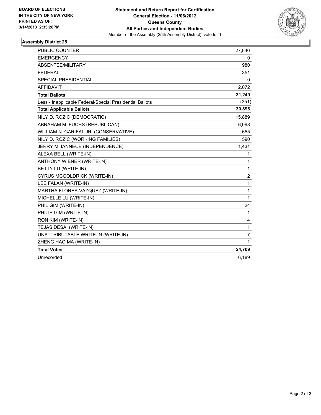

## **Assembly District 25**

| <b>PUBLIC COUNTER</b>                                    | 27,846         |
|----------------------------------------------------------|----------------|
| <b>EMERGENCY</b>                                         | 0              |
| ABSENTEE/MILITARY                                        | 980            |
| <b>FEDERAL</b>                                           | 351            |
| <b>SPECIAL PRESIDENTIAL</b>                              | $\mathbf{0}$   |
| <b>AFFIDAVIT</b>                                         | 2,072          |
| <b>Total Ballots</b>                                     | 31,249         |
| Less - Inapplicable Federal/Special Presidential Ballots | (351)          |
| <b>Total Applicable Ballots</b>                          | 30,898         |
| NILY D. ROZIC (DEMOCRATIC)                               | 15,889         |
| ABRAHAM M. FUCHS (REPUBLICAN)                            | 6,098          |
| WILLIAM N. GARIFAL JR. (CONSERVATIVE)                    | 655            |
| NILY D. ROZIC (WORKING FAMILIES)                         | 590            |
| JERRY M. IANNECE (INDEPENDENCE)                          | 1,431          |
| ALEXA BELL (WRITE-IN)                                    | 1              |
| ANTHONY WIENER (WRITE-IN)                                | 1              |
| BETTY LU (WRITE-IN)                                      | $\mathbf{1}$   |
| CYRUS MCGOLDRICK (WRITE-IN)                              | $\overline{c}$ |
| LEE FALAN (WRITE-IN)                                     | $\mathbf{1}$   |
| MARTHA FLORES-VAZQUEZ (WRITE-IN)                         | $\mathbf{1}$   |
| MICHELLE LU (WRITE-IN)                                   | $\mathbf{1}$   |
| PHIL GIM (WRITE-IN)                                      | 24             |
| PHILIP GIM (WRITE-IN)                                    | 1              |
| RON KIM (WRITE-IN)                                       | 4              |
| TEJAS DESAI (WRITE-IN)                                   | $\mathbf{1}$   |
| UNATTRIBUTABLE WRITE-IN (WRITE-IN)                       | $\overline{7}$ |
| ZHENG HAO MA (WRITE-IN)                                  | $\mathbf{1}$   |
| <b>Total Votes</b>                                       | 24,709         |
| Unrecorded                                               | 6,189          |